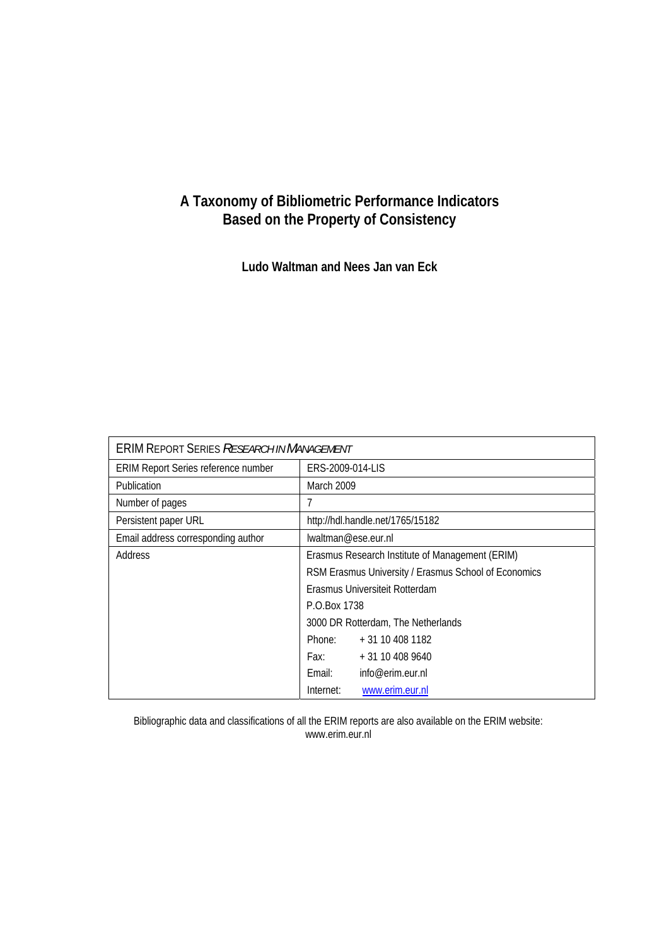#### **A Taxonomy of Bibliometric Performance Indicators Based on the Property of Consistency**

**Ludo Waltman and Nees Jan van Eck** 

| <b>ERIM REPORT SERIES RESEARCH IN MANAGEMENT</b> |                                                      |                  |  |
|--------------------------------------------------|------------------------------------------------------|------------------|--|
| ERIM Report Series reference number              | ERS-2009-014-LIS                                     |                  |  |
| Publication                                      | March 2009                                           |                  |  |
| Number of pages                                  | 7                                                    |                  |  |
| Persistent paper URL                             | http://hdl.handle.net/1765/15182                     |                  |  |
| Email address corresponding author               | lwaltman@ese.eur.nl                                  |                  |  |
| Address                                          | Erasmus Research Institute of Management (ERIM)      |                  |  |
|                                                  | RSM Erasmus University / Erasmus School of Economics |                  |  |
|                                                  | Erasmus Universiteit Rotterdam                       |                  |  |
|                                                  | P.O.Box 1738                                         |                  |  |
|                                                  | 3000 DR Rotterdam, The Netherlands                   |                  |  |
|                                                  | Phone:                                               | $+31104081182$   |  |
|                                                  | Fax: Fax:                                            | $+31104089640$   |  |
|                                                  | Email:                                               | info@erim.eur.nl |  |
|                                                  | Internet:                                            | www.erim.eur.nl  |  |

Bibliographic data and classifications of all the ERIM reports are also available on the ERIM website: www.erim.eur.nl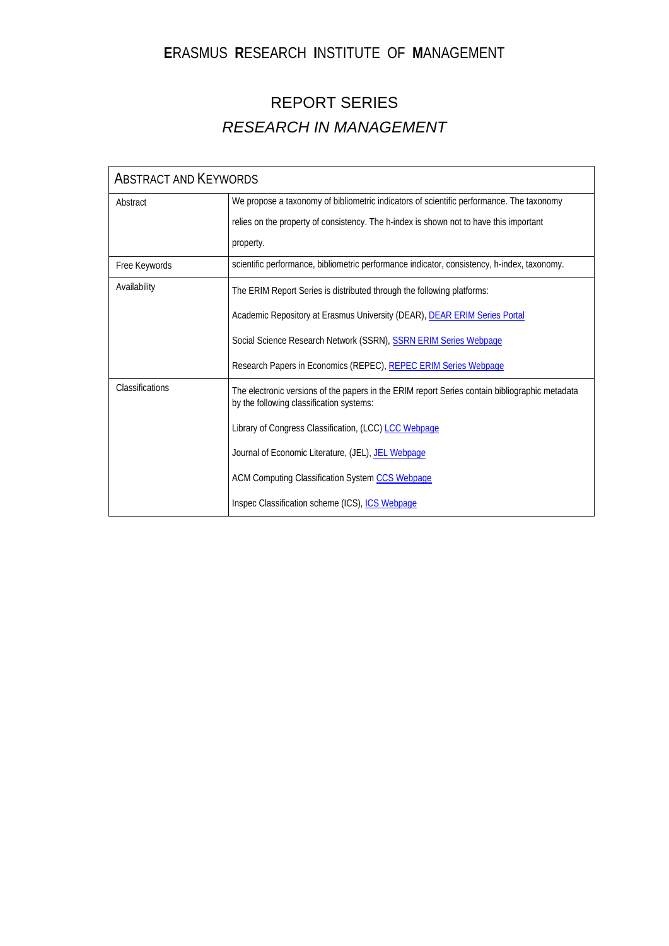### **E**RASMUS **R**ESEARCH **I**NSTITUTE OF **M**ANAGEMENT

### REPORT SERIES *RESEARCH IN MANAGEMENT*

| <b>ABSTRACT AND KEYWORDS</b> |                                                                                                                                            |  |
|------------------------------|--------------------------------------------------------------------------------------------------------------------------------------------|--|
| Abstract                     | We propose a taxonomy of bibliometric indicators of scientific performance. The taxonomy                                                   |  |
|                              | relies on the property of consistency. The h-index is shown not to have this important                                                     |  |
|                              | property.                                                                                                                                  |  |
| Free Keywords                | scientific performance, bibliometric performance indicator, consistency, h-index, taxonomy.                                                |  |
| Availability                 | The ERIM Report Series is distributed through the following platforms:                                                                     |  |
|                              | Academic Repository at Erasmus University (DEAR), DEAR ERIM Series Portal                                                                  |  |
|                              | Social Science Research Network (SSRN), SSRN ERIM Series Webpage                                                                           |  |
|                              | Research Papers in Economics (REPEC), REPEC ERIM Series Webpage                                                                            |  |
| Classifications              | The electronic versions of the papers in the ERIM report Series contain bibliographic metadata<br>by the following classification systems: |  |
|                              | Library of Congress Classification, (LCC) LCC Webpage                                                                                      |  |
|                              | Journal of Economic Literature, (JEL), JEL Webpage                                                                                         |  |
|                              | ACM Computing Classification System CCS Webpage                                                                                            |  |
|                              | Inspec Classification scheme (ICS), ICS Webpage                                                                                            |  |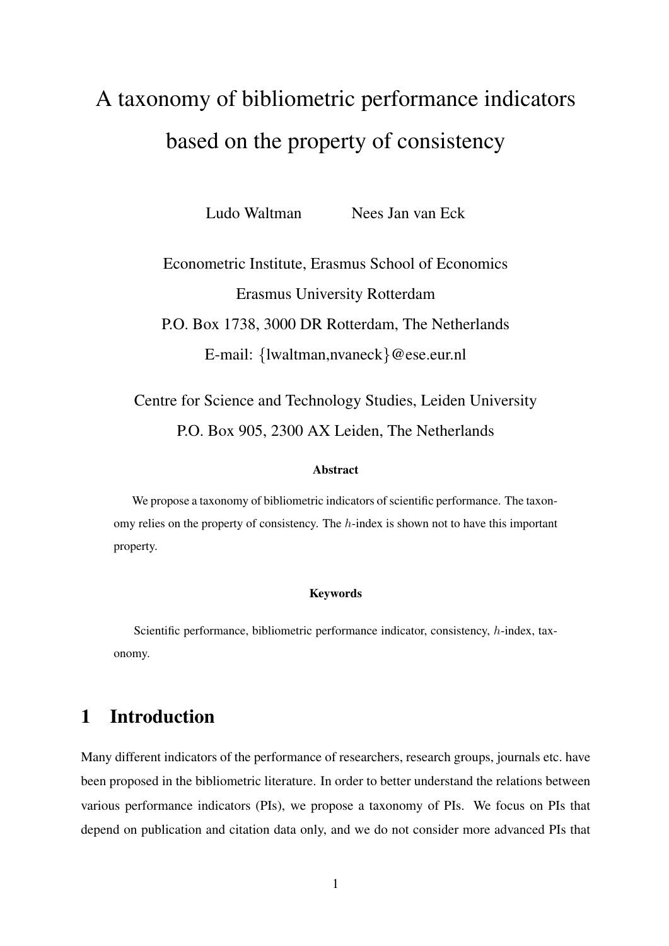# A taxonomy of bibliometric performance indicators based on the property of consistency

Ludo Waltman Nees Jan van Eck

## Econometric Institute, Erasmus School of Economics Erasmus University Rotterdam P.O. Box 1738, 3000 DR Rotterdam, The Netherlands E-mail: {lwaltman,nvaneck}@ese.eur.nl

Centre for Science and Technology Studies, Leiden University P.O. Box 905, 2300 AX Leiden, The Netherlands

#### Abstract

We propose a taxonomy of bibliometric indicators of scientific performance. The taxonomy relies on the property of consistency. The  $h$ -index is shown not to have this important property.

#### Keywords

Scientific performance, bibliometric performance indicator, consistency, h-index, taxonomy.

### 1 Introduction

Many different indicators of the performance of researchers, research groups, journals etc. have been proposed in the bibliometric literature. In order to better understand the relations between various performance indicators (PIs), we propose a taxonomy of PIs. We focus on PIs that depend on publication and citation data only, and we do not consider more advanced PIs that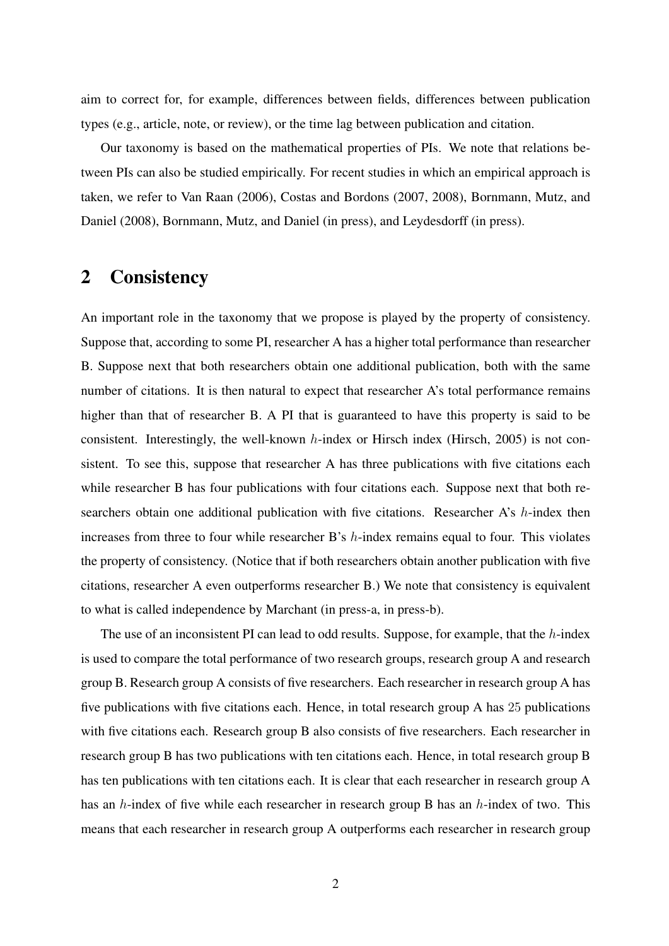aim to correct for, for example, differences between fields, differences between publication types (e.g., article, note, or review), or the time lag between publication and citation.

Our taxonomy is based on the mathematical properties of PIs. We note that relations between PIs can also be studied empirically. For recent studies in which an empirical approach is taken, we refer to Van Raan (2006), Costas and Bordons (2007, 2008), Bornmann, Mutz, and Daniel (2008), Bornmann, Mutz, and Daniel (in press), and Leydesdorff (in press).

#### 2 Consistency

An important role in the taxonomy that we propose is played by the property of consistency. Suppose that, according to some PI, researcher A has a higher total performance than researcher B. Suppose next that both researchers obtain one additional publication, both with the same number of citations. It is then natural to expect that researcher A's total performance remains higher than that of researcher B. A PI that is guaranteed to have this property is said to be consistent. Interestingly, the well-known  $h$ -index or Hirsch index (Hirsch, 2005) is not consistent. To see this, suppose that researcher A has three publications with five citations each while researcher B has four publications with four citations each. Suppose next that both researchers obtain one additional publication with five citations. Researcher A's h-index then increases from three to four while researcher B's h-index remains equal to four. This violates the property of consistency. (Notice that if both researchers obtain another publication with five citations, researcher A even outperforms researcher B.) We note that consistency is equivalent to what is called independence by Marchant (in press-a, in press-b).

The use of an inconsistent PI can lead to odd results. Suppose, for example, that the  $h$ -index is used to compare the total performance of two research groups, research group A and research group B. Research group A consists of five researchers. Each researcher in research group A has five publications with five citations each. Hence, in total research group A has 25 publications with five citations each. Research group B also consists of five researchers. Each researcher in research group B has two publications with ten citations each. Hence, in total research group B has ten publications with ten citations each. It is clear that each researcher in research group A has an h-index of five while each researcher in research group B has an h-index of two. This means that each researcher in research group A outperforms each researcher in research group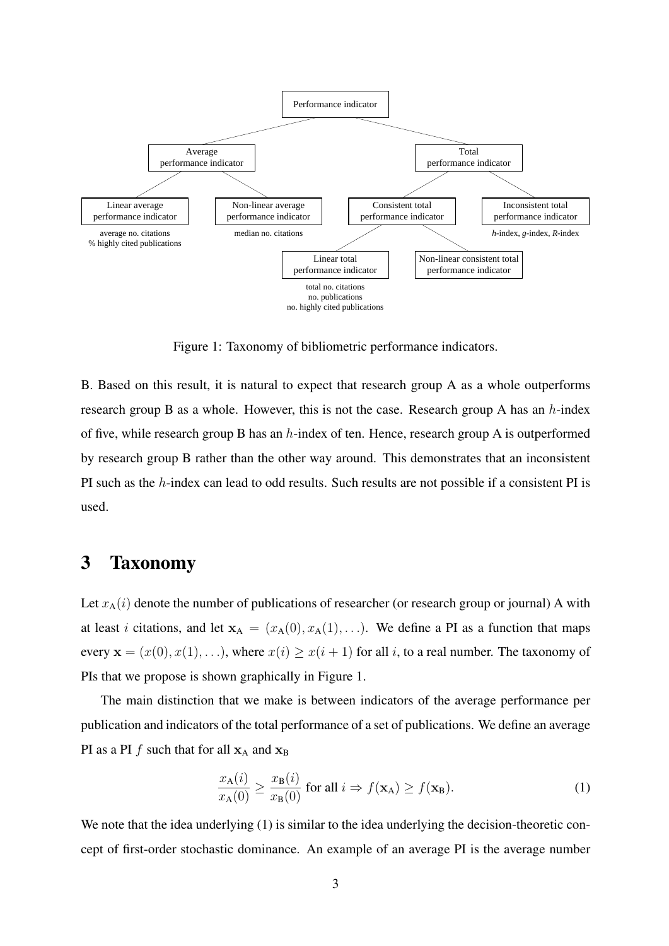

Figure 1: Taxonomy of bibliometric performance indicators.

B. Based on this result, it is natural to expect that research group A as a whole outperforms research group B as a whole. However, this is not the case. Research group A has an h-index of five, while research group B has an  $h$ -index of ten. Hence, research group A is outperformed by research group B rather than the other way around. This demonstrates that an inconsistent PI such as the h-index can lead to odd results. Such results are not possible if a consistent PI is used.

#### 3 Taxonomy

Let  $x_A(i)$  denote the number of publications of researcher (or research group or journal) A with at least *i* citations, and let  $x_A = (x_A(0), x_A(1), ...)$ . We define a PI as a function that maps every  $\mathbf{x} = (x(0), x(1), \ldots)$ , where  $x(i) \geq x(i + 1)$  for all i, to a real number. The taxonomy of PIs that we propose is shown graphically in Figure 1.

The main distinction that we make is between indicators of the average performance per publication and indicators of the total performance of a set of publications. We define an average PI as a PI f such that for all  $x_A$  and  $x_B$ 

$$
\frac{x_{\mathbf{A}}(i)}{x_{\mathbf{A}}(0)} \ge \frac{x_{\mathbf{B}}(i)}{x_{\mathbf{B}}(0)} \text{ for all } i \Rightarrow f(\mathbf{x}_{\mathbf{A}}) \ge f(\mathbf{x}_{\mathbf{B}}). \tag{1}
$$

We note that the idea underlying (1) is similar to the idea underlying the decision-theoretic concept of first-order stochastic dominance. An example of an average PI is the average number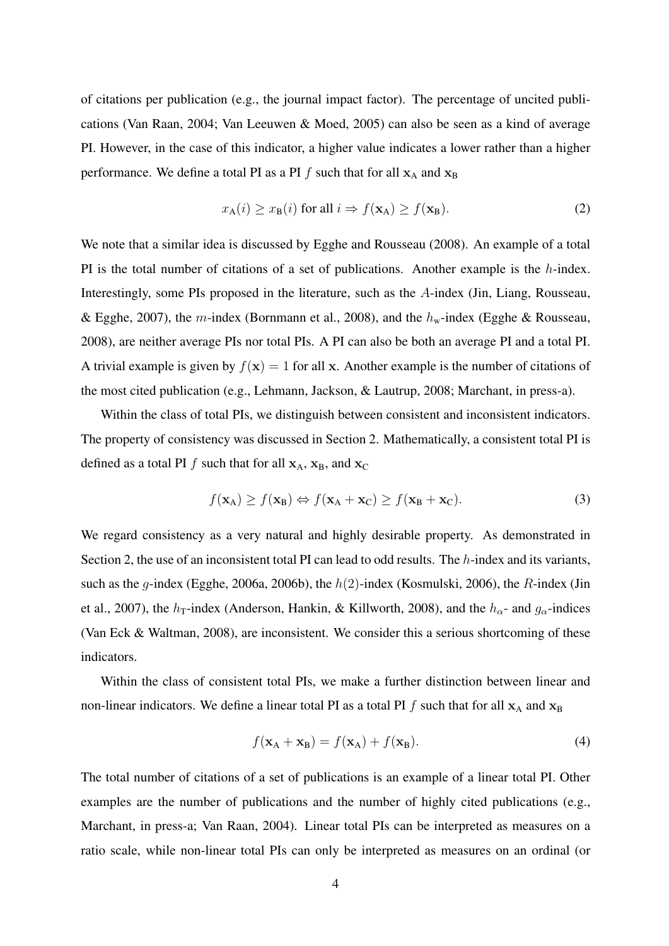of citations per publication (e.g., the journal impact factor). The percentage of uncited publications (Van Raan, 2004; Van Leeuwen & Moed, 2005) can also be seen as a kind of average PI. However, in the case of this indicator, a higher value indicates a lower rather than a higher performance. We define a total PI as a PI  $f$  such that for all  $x_A$  and  $x_B$ 

$$
x_{\mathbf{A}}(i) \ge x_{\mathbf{B}}(i) \text{ for all } i \Rightarrow f(\mathbf{x}_{\mathbf{A}}) \ge f(\mathbf{x}_{\mathbf{B}}). \tag{2}
$$

We note that a similar idea is discussed by Egghe and Rousseau (2008). An example of a total PI is the total number of citations of a set of publications. Another example is the h-index. Interestingly, some PIs proposed in the literature, such as the A-index (Jin, Liang, Rousseau, & Egghe, 2007), the m-index (Bornmann et al., 2008), and the  $h_w$ -index (Egghe & Rousseau, 2008), are neither average PIs nor total PIs. A PI can also be both an average PI and a total PI. A trivial example is given by  $f(x) = 1$  for all x. Another example is the number of citations of the most cited publication (e.g., Lehmann, Jackson, & Lautrup, 2008; Marchant, in press-a).

Within the class of total PIs, we distinguish between consistent and inconsistent indicators. The property of consistency was discussed in Section 2. Mathematically, a consistent total PI is defined as a total PI f such that for all  $x_A$ ,  $x_B$ , and  $x_C$ 

$$
f(\mathbf{x}_A) \ge f(\mathbf{x}_B) \Leftrightarrow f(\mathbf{x}_A + \mathbf{x}_C) \ge f(\mathbf{x}_B + \mathbf{x}_C). \tag{3}
$$

We regard consistency as a very natural and highly desirable property. As demonstrated in Section 2, the use of an inconsistent total PI can lead to odd results. The h-index and its variants, such as the *q*-index (Egghe, 2006a, 2006b), the  $h(2)$ -index (Kosmulski, 2006), the *R*-index (Jin et al., 2007), the  $h_T$ -index (Anderson, Hankin, & Killworth, 2008), and the  $h_{\alpha}$ - and  $g_{\alpha}$ -indices (Van Eck & Waltman, 2008), are inconsistent. We consider this a serious shortcoming of these indicators.

Within the class of consistent total PIs, we make a further distinction between linear and non-linear indicators. We define a linear total PI as a total PI f such that for all  $x_A$  and  $x_B$ 

$$
f(\mathbf{x}_A + \mathbf{x}_B) = f(\mathbf{x}_A) + f(\mathbf{x}_B). \tag{4}
$$

The total number of citations of a set of publications is an example of a linear total PI. Other examples are the number of publications and the number of highly cited publications (e.g., Marchant, in press-a; Van Raan, 2004). Linear total PIs can be interpreted as measures on a ratio scale, while non-linear total PIs can only be interpreted as measures on an ordinal (or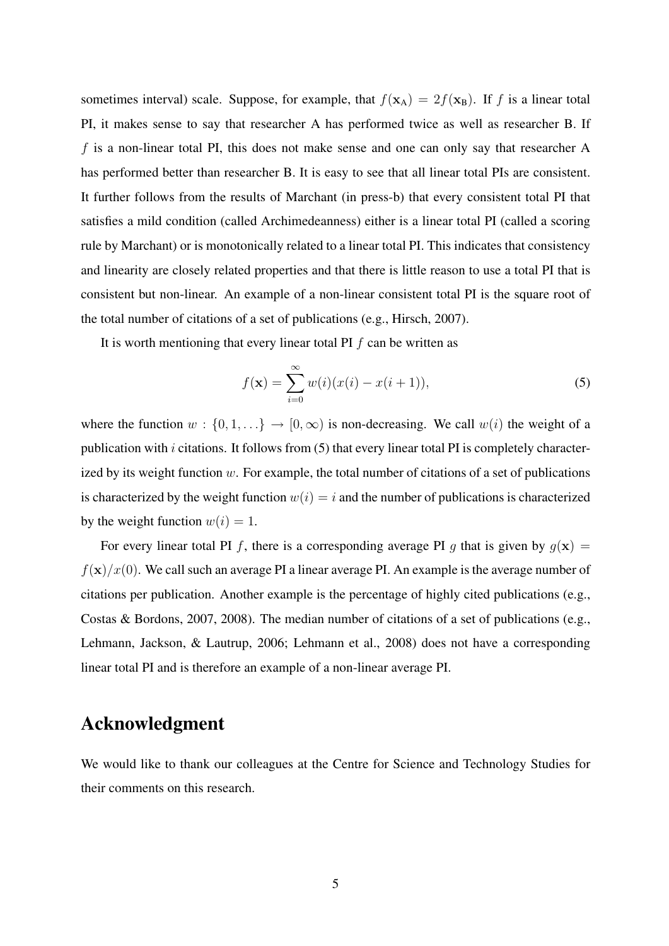sometimes interval) scale. Suppose, for example, that  $f(\mathbf{x}_A) = 2f(\mathbf{x}_B)$ . If f is a linear total PI, it makes sense to say that researcher A has performed twice as well as researcher B. If  $f$  is a non-linear total PI, this does not make sense and one can only say that researcher A has performed better than researcher B. It is easy to see that all linear total PIs are consistent. It further follows from the results of Marchant (in press-b) that every consistent total PI that satisfies a mild condition (called Archimedeanness) either is a linear total PI (called a scoring rule by Marchant) or is monotonically related to a linear total PI. This indicates that consistency and linearity are closely related properties and that there is little reason to use a total PI that is consistent but non-linear. An example of a non-linear consistent total PI is the square root of the total number of citations of a set of publications (e.g., Hirsch, 2007).

It is worth mentioning that every linear total PI  $f$  can be written as

$$
f(\mathbf{x}) = \sum_{i=0}^{\infty} w(i)(x(i) - x(i+1)),
$$
\n(5)

where the function  $w : \{0, 1, ...\} \to [0, \infty)$  is non-decreasing. We call  $w(i)$  the weight of a publication with  $i$  citations. It follows from  $(5)$  that every linear total PI is completely characterized by its weight function  $w$ . For example, the total number of citations of a set of publications is characterized by the weight function  $w(i) = i$  and the number of publications is characterized by the weight function  $w(i) = 1$ .

For every linear total PI f, there is a corresponding average PI g that is given by  $g(x)$  =  $f(\mathbf{x})/x(0)$ . We call such an average PI a linear average PI. An example is the average number of citations per publication. Another example is the percentage of highly cited publications (e.g., Costas & Bordons, 2007, 2008). The median number of citations of a set of publications (e.g., Lehmann, Jackson, & Lautrup, 2006; Lehmann et al., 2008) does not have a corresponding linear total PI and is therefore an example of a non-linear average PI.

#### Acknowledgment

We would like to thank our colleagues at the Centre for Science and Technology Studies for their comments on this research.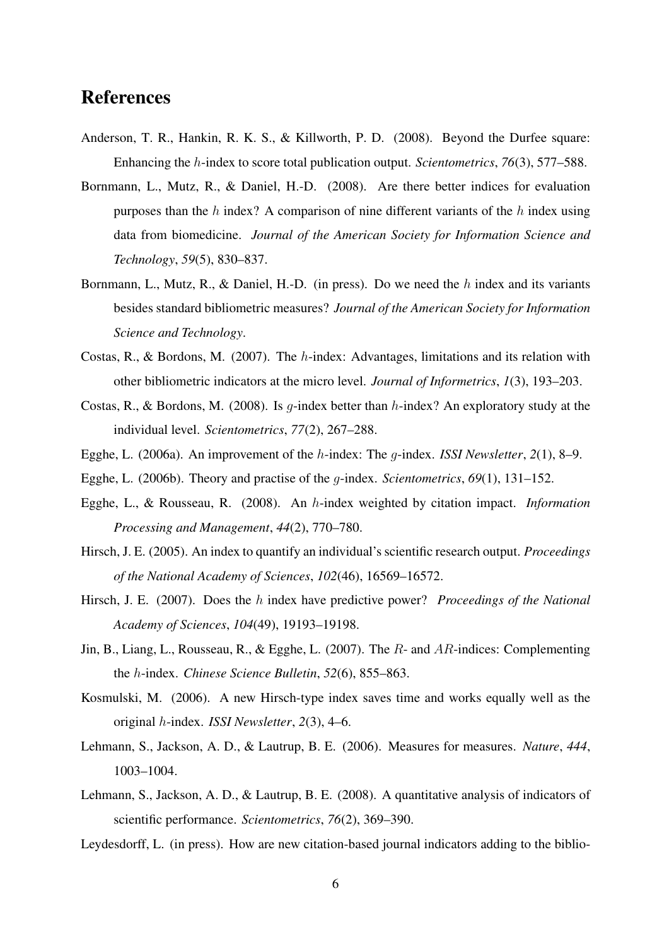#### References

- Anderson, T. R., Hankin, R. K. S., & Killworth, P. D. (2008). Beyond the Durfee square: Enhancing the h-index to score total publication output. *Scientometrics*, *76*(3), 577–588.
- Bornmann, L., Mutz, R., & Daniel, H.-D. (2008). Are there better indices for evaluation purposes than the  $h$  index? A comparison of nine different variants of the  $h$  index using data from biomedicine. *Journal of the American Society for Information Science and Technology*, *59*(5), 830–837.
- Bornmann, L., Mutz, R., & Daniel, H.-D. (in press). Do we need the h index and its variants besides standard bibliometric measures? *Journal of the American Society for Information Science and Technology*.
- Costas, R., & Bordons, M. (2007). The h-index: Advantages, limitations and its relation with other bibliometric indicators at the micro level. *Journal of Informetrics*, *1*(3), 193–203.
- Costas, R., & Bordons, M. (2008). Is *g*-index better than *h*-index? An exploratory study at the individual level. *Scientometrics*, *77*(2), 267–288.
- Egghe, L. (2006a). An improvement of the h-index: The g-index. *ISSI Newsletter*, *2*(1), 8–9.
- Egghe, L. (2006b). Theory and practise of the g-index. *Scientometrics*, *69*(1), 131–152.
- Egghe, L., & Rousseau, R. (2008). An h-index weighted by citation impact. *Information Processing and Management*, *44*(2), 770–780.
- Hirsch, J. E. (2005). An index to quantify an individual's scientific research output. *Proceedings of the National Academy of Sciences*, *102*(46), 16569–16572.
- Hirsch, J. E. (2007). Does the h index have predictive power? *Proceedings of the National Academy of Sciences*, *104*(49), 19193–19198.
- Jin, B., Liang, L., Rousseau, R., & Egghe, L. (2007). The R- and AR-indices: Complementing the h-index. *Chinese Science Bulletin*, *52*(6), 855–863.
- Kosmulski, M. (2006). A new Hirsch-type index saves time and works equally well as the original h-index. *ISSI Newsletter*, *2*(3), 4–6.
- Lehmann, S., Jackson, A. D., & Lautrup, B. E. (2006). Measures for measures. *Nature*, *444*, 1003–1004.
- Lehmann, S., Jackson, A. D., & Lautrup, B. E. (2008). A quantitative analysis of indicators of scientific performance. *Scientometrics*, *76*(2), 369–390.
- Leydesdorff, L. (in press). How are new citation-based journal indicators adding to the biblio-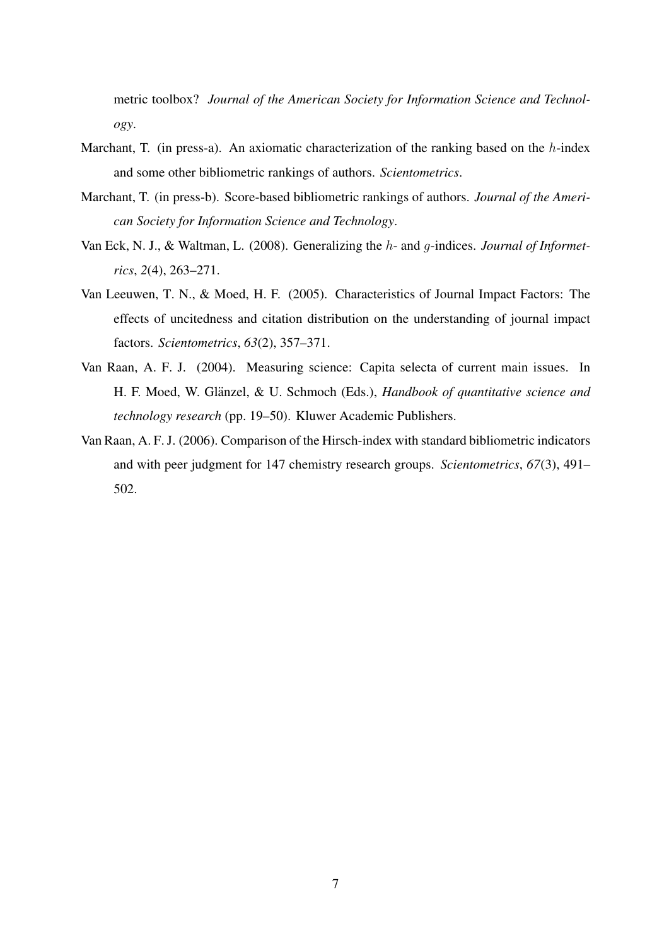metric toolbox? *Journal of the American Society for Information Science and Technology*.

- Marchant, T. (in press-a). An axiomatic characterization of the ranking based on the  $h$ -index and some other bibliometric rankings of authors. *Scientometrics*.
- Marchant, T. (in press-b). Score-based bibliometric rankings of authors. *Journal of the American Society for Information Science and Technology*.
- Van Eck, N. J., & Waltman, L. (2008). Generalizing the h- and g-indices. *Journal of Informetrics*, *2*(4), 263–271.
- Van Leeuwen, T. N., & Moed, H. F. (2005). Characteristics of Journal Impact Factors: The effects of uncitedness and citation distribution on the understanding of journal impact factors. *Scientometrics*, *63*(2), 357–371.
- Van Raan, A. F. J. (2004). Measuring science: Capita selecta of current main issues. In H. F. Moed, W. Glänzel, & U. Schmoch (Eds.), *Handbook of quantitative science and technology research* (pp. 19–50). Kluwer Academic Publishers.
- Van Raan, A. F. J. (2006). Comparison of the Hirsch-index with standard bibliometric indicators and with peer judgment for 147 chemistry research groups. *Scientometrics*, *67*(3), 491– 502.